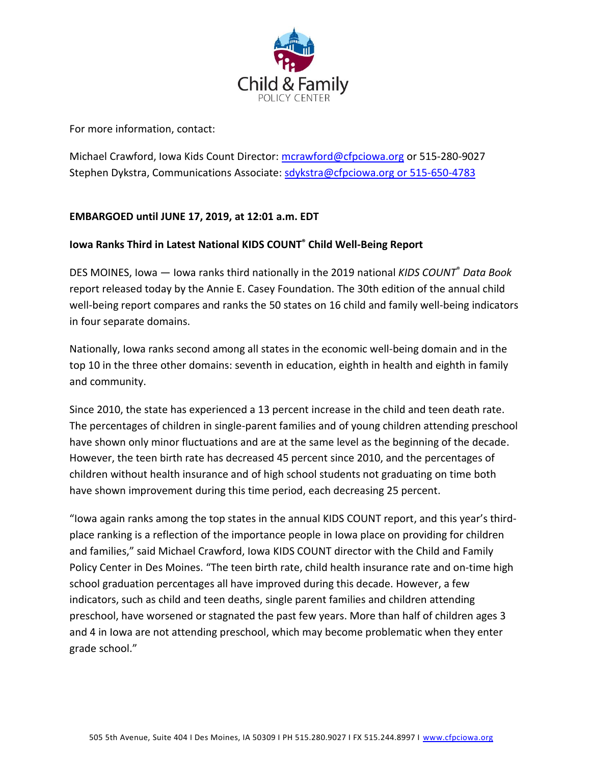

For more information, contact:

Michael Crawford, Iowa Kids Count Director: [mcrawford@cfpciowa.org](mailto:mcrawford@cfpciowa.org) or 515-280-9027 Stephen Dykstra, Communications Associate: [sdykstra@cfpciowa.org](mailto:sdykstra@cfpciowa.org) or 515-650-4783

## **EMBARGOED until JUNE 17, 2019, at 12:01 a.m. EDT**

## **Iowa Ranks Third in Latest National KIDS COUNT® Child Well-Being Report**

DES MOINES, Iowa — Iowa ranks third nationally in the 2019 national *KIDS COUNT*® *Data Book* report released today by the Annie E. Casey Foundation. The 30th edition of the annual child well-being report compares and ranks the 50 states on 16 child and family well-being indicators in four separate domains.

Nationally, Iowa ranks second among all states in the economic well-being domain and in the top 10 in the three other domains: seventh in education, eighth in health and eighth in family and community.

Since 2010, the state has experienced a 13 percent increase in the child and teen death rate. The percentages of children in single-parent families and of young children attending preschool have shown only minor fluctuations and are at the same level as the beginning of the decade. However, the teen birth rate has decreased 45 percent since 2010, and the percentages of children without health insurance and of high school students not graduating on time both have shown improvement during this time period, each decreasing 25 percent.

"Iowa again ranks among the top states in the annual KIDS COUNT report, and this year's thirdplace ranking is a reflection of the importance people in Iowa place on providing for children and families," said Michael Crawford, Iowa KIDS COUNT director with the Child and Family Policy Center in Des Moines. "The teen birth rate, child health insurance rate and on-time high school graduation percentages all have improved during this decade. However, a few indicators, such as child and teen deaths, single parent families and children attending preschool, have worsened or stagnated the past few years. More than half of children ages 3 and 4 in Iowa are not attending preschool, which may become problematic when they enter grade school."